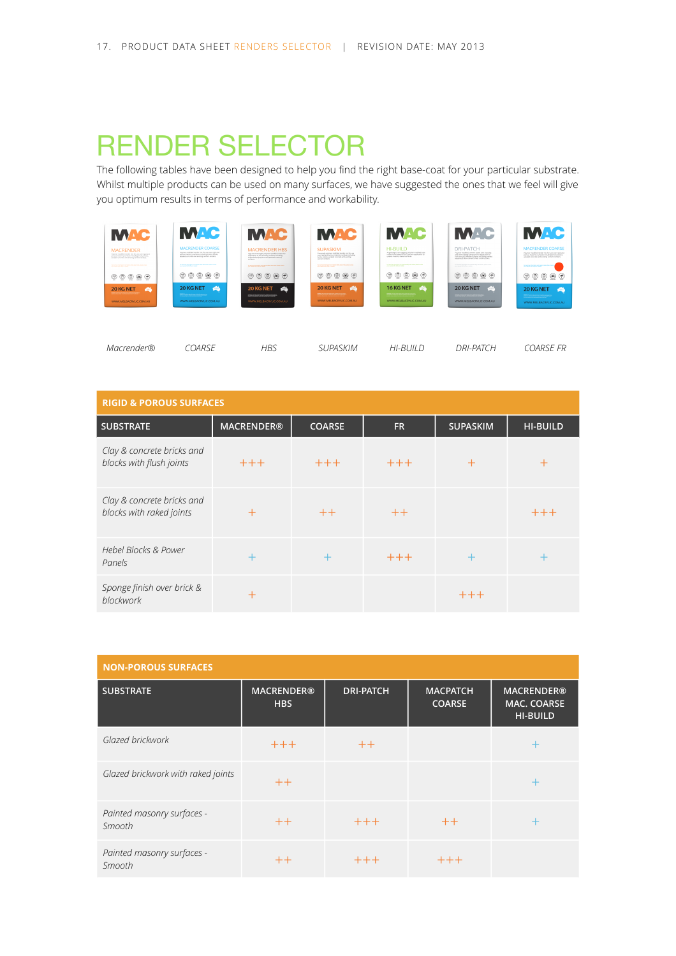## RENDER SELECTOR

The following tables have been designed to help you find the right base-coat for your particular substrate. Whilst multiple products can be used on many surfaces, we have suggested the ones that we feel will give you optimum results in terms of performance and workability.



| <b>RIGID &amp; POROUS SURFACES</b>                     |                   |               |       |                 |                 |
|--------------------------------------------------------|-------------------|---------------|-------|-----------------|-----------------|
| <b>SUBSTRATE</b>                                       | <b>MACRENDER®</b> | <b>COARSE</b> | FR.   | <b>SUPASKIM</b> | <b>HI-BUILD</b> |
| Clay & concrete bricks and<br>blocks with flush joints | $+++$             | $+++$         | $+++$ | $^{+}$          | +               |
| Clay & concrete bricks and<br>blocks with raked joints | $+$               | $++$          | $++$  |                 | $+++$           |
| Hebel Blocks & Power<br>Panels                         | $\pm$             | $\pm$         | $+++$ | $\pm$           | +               |
| Sponge finish over brick &<br>blockwork                | $\boldsymbol{+}$  |               |       | $+++$           |                 |

| <b>NON-POROUS SURFACES</b>           |                                 |                  |                                  |                                                            |  |
|--------------------------------------|---------------------------------|------------------|----------------------------------|------------------------------------------------------------|--|
| <b>SUBSTRATE</b>                     | <b>MACRENDER®</b><br><b>HBS</b> | <b>DRI-PATCH</b> | <b>MACPATCH</b><br><b>COARSE</b> | <b>MACRENDER®</b><br><b>MAC. COARSE</b><br><b>HI-BUILD</b> |  |
| Glazed brickwork                     | $+++$                           | $++$             |                                  | ┿                                                          |  |
| Glazed brickwork with raked joints   | $++$                            |                  |                                  | +                                                          |  |
| Painted masonry surfaces -<br>Smooth | $++$                            | $+++$            | $++$                             | ┿                                                          |  |
| Painted masonry surfaces -<br>Smooth | $++$                            | $+++$            | $++++$                           |                                                            |  |